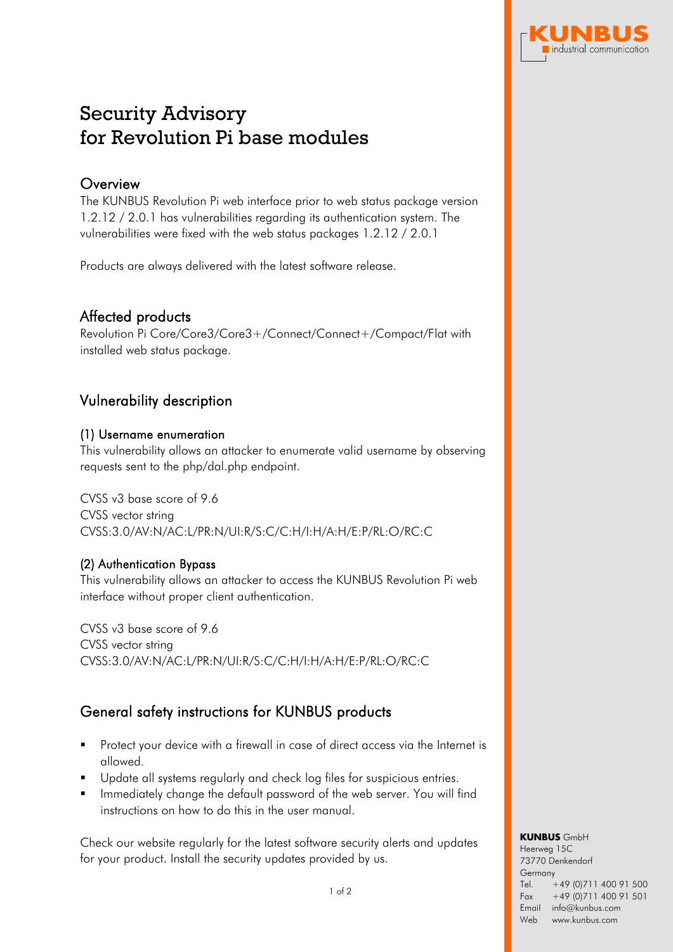

# Security Advisory for Revolution Pi base modules

## **Overview**

The KUNBUS Revolution Pi web interface prior to web status package version 1.2.12 / 2.0.1 has vulnerabilities regarding its authentication system. The vulnerabilities were fixed with the web status packages 1.2.12 / 2.0.1

Products are always delivered with the latest software release.

## Affected products

Revolution Pi Core/Core3/Core3+/Connect/Connect+/Compact/Flat with installed web status package.

## Vulnerability description

#### (1) Username enumeration

This vulnerability allows an attacker to enumerate valid username by observing requests sent to the php/dal.php endpoint.

CVSS v3 base score of 9.6 CVSS vector string CVSS:3.0/AV:N/AC:L/PR:N/UI:R/S:C/C:H/I:H/A:H/E:P/RL:O/RC:C

#### (2) Authentication Bypass

This vulnerability allows an attacker to access the KUNBUS Revolution Pi web interface without proper client authentication.

CVSS v3 base score of 9.6 CVSS vector string CVSS:3.0/AV:N/AC:L/PR:N/UI:R/S:C/C:H/I:H/A:H/E:P/RL:O/RC:C

# General safety instructions for KUNBUS products

- Protect your device with a firewall in case of direct access via the Internet is allowed.
- Update all systems regularly and check log files for suspicious entries.
- **IF** Immediately change the default password of the web server. You will find instructions on how to do this in the user manual.

Check our website regularly for the latest software security alerts and updates for your product. Install the security updates provided by us.

**KUNBUS** GmbH Heerweg 15C 73770 Denkendorf **Germany** Tel. Fax +49 (0)711 400 91 500 +49 (0)711 400 91 501 Email info@kunbus.com Web www.kunbus.com